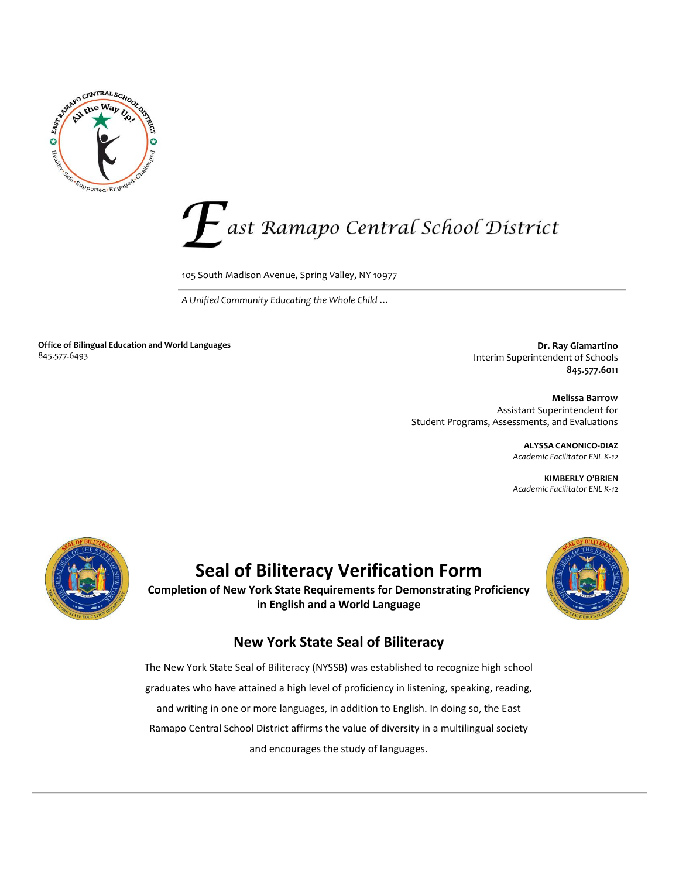



105 South Madison Avenue, Spring Valley, NY 10977

 *A Unified Community Educating the Whole Child …* 

**Office of Bilingual Education and World Languages** 845.577.6493

**Dr. Ray Giamartino** Interim Superintendent of Schools **845.577.6011** 

**Melissa Barrow** Assistant Superintendent for Student Programs, Assessments, and Evaluations

> **ALYSSA CANONICO-DIAZ** *Academic Facilitator ENL K-12*

> **KIMBERLY O'BRIEN** *Academic Facilitator ENL K-12*



## **Seal of Biliteracy Verification Form**

**Completion of New York State Requirements for Demonstrating Proficiency in English and a World Language**



## **New York State Seal of Biliteracy**

The New York State Seal of Biliteracy (NYSSB) was established to recognize high school graduates who have attained a high level of proficiency in listening, speaking, reading, and writing in one or more languages, in addition to English. In doing so, the East Ramapo Central School District affirms the value of diversity in a multilingual society and encourages the study of languages.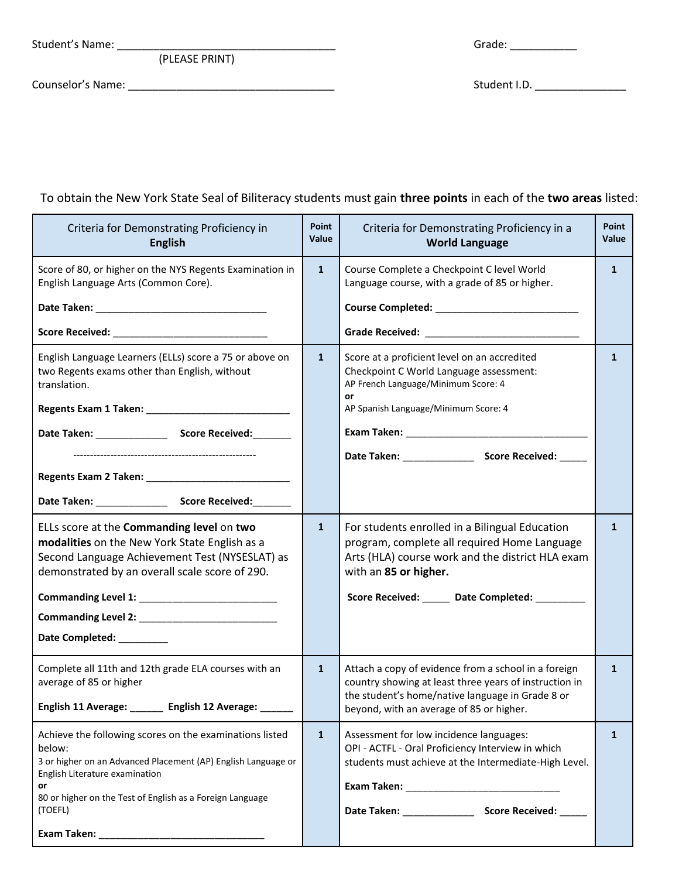(PLEASE PRINT)

Student's Name: \_\_\_\_\_\_\_\_\_\_\_\_\_\_\_\_\_\_\_\_\_\_\_\_\_\_\_\_\_\_\_\_\_\_\_\_ Grade: \_\_\_\_\_\_\_\_\_\_\_

Counselor's Name: \_\_\_\_\_\_\_\_\_\_\_\_\_\_\_\_\_\_\_\_\_\_\_\_\_\_\_\_\_\_\_\_\_\_ Student I.D. \_\_\_\_\_\_\_\_\_\_\_\_\_\_\_

## To obtain the New York State Seal of Biliteracy students must gain **three points** in each of the **two areas** listed:  $\overline{\phantom{a}}$

| Criteria for Demonstrating Proficiency in<br><b>English</b>                                                                                                                                                                                        | Point<br>Value | Criteria for Demonstrating Proficiency in a<br><b>World Language</b>                                                                                                                                                          | Point<br>Value |
|----------------------------------------------------------------------------------------------------------------------------------------------------------------------------------------------------------------------------------------------------|----------------|-------------------------------------------------------------------------------------------------------------------------------------------------------------------------------------------------------------------------------|----------------|
| Score of 80, or higher on the NYS Regents Examination in<br>English Language Arts (Common Core).                                                                                                                                                   | $\mathbf{1}$   | Course Complete a Checkpoint C level World<br>Language course, with a grade of 85 or higher.                                                                                                                                  | $\mathbf{1}$   |
| English Language Learners (ELLs) score a 75 or above on<br>two Regents exams other than English, without<br>translation.                                                                                                                           | $\mathbf{1}$   | Score at a proficient level on an accredited<br>Checkpoint C World Language assessment:<br>AP French Language/Minimum Score: 4<br>or<br>AP Spanish Language/Minimum Score: 4                                                  | $\mathbf{1}$   |
| ELLs score at the Commanding level on two<br>modalities on the New York State English as a<br>Second Language Achievement Test (NYSESLAT) as<br>demonstrated by an overall scale score of 290.<br>Date Completed: _________                        | $\mathbf{1}$   | For students enrolled in a Bilingual Education<br>program, complete all required Home Language<br>Arts (HLA) course work and the district HLA exam<br>with an 85 or higher.<br>Score Received: _____ Date Completed: ________ | $\mathbf{1}$   |
| Complete all 11th and 12th grade ELA courses with an<br>average of 85 or higher<br>English 11 Average: ______ English 12 Average: _                                                                                                                | $\mathbf{1}$   | Attach a copy of evidence from a school in a foreign<br>country showing at least three years of instruction in<br>the student's home/native language in Grade 8 or<br>beyond, with an average of 85 or higher.                | $\mathbf{1}$   |
| Achieve the following scores on the examinations listed<br>below:<br>3 or higher on an Advanced Placement (AP) English Language or<br>English Literature examination<br>or<br>80 or higher on the Test of English as a Foreign Language<br>(TOEFL) | $\mathbf{1}$   | Assessment for low incidence languages:<br>OPI - ACTFL - Oral Proficiency Interview in which<br>students must achieve at the Intermediate-High Level.                                                                         | $\mathbf{1}$   |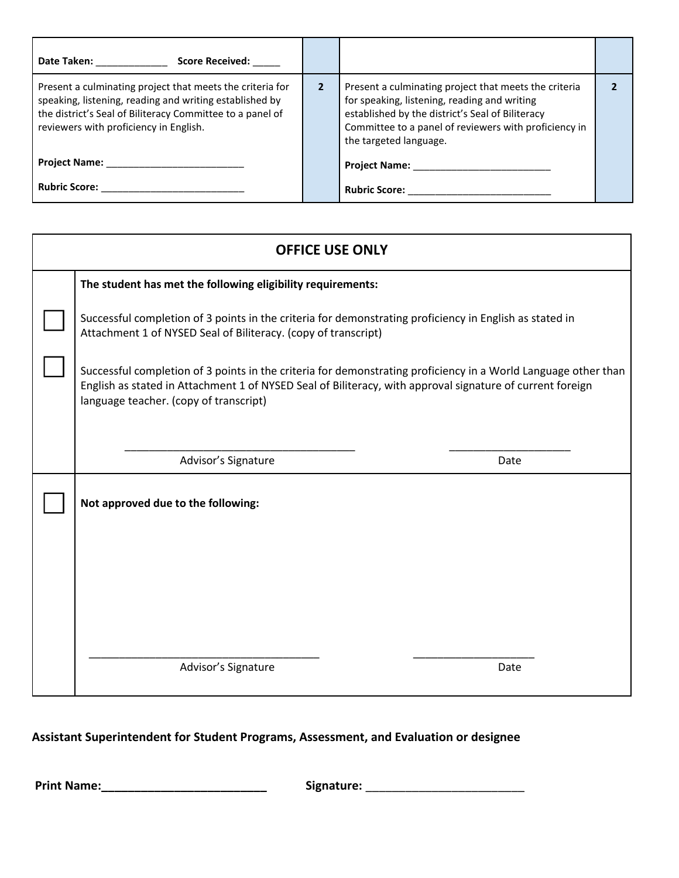| <b>Date Taken:</b><br><b>Score Received:</b>                                                                                                                                                                                |              |                                                                                                                                                                                                                                              |  |
|-----------------------------------------------------------------------------------------------------------------------------------------------------------------------------------------------------------------------------|--------------|----------------------------------------------------------------------------------------------------------------------------------------------------------------------------------------------------------------------------------------------|--|
| Present a culminating project that meets the criteria for<br>speaking, listening, reading and writing established by<br>the district's Seal of Biliteracy Committee to a panel of<br>reviewers with proficiency in English. | $\mathbf{2}$ | Present a culminating project that meets the criteria<br>for speaking, listening, reading and writing<br>established by the district's Seal of Biliteracy<br>Committee to a panel of reviewers with proficiency in<br>the targeted language. |  |
| <b>Project Name:</b>                                                                                                                                                                                                        |              | <b>Project Name:</b>                                                                                                                                                                                                                         |  |
| <b>Rubric Score:</b>                                                                                                                                                                                                        |              | <b>Rubric Score:</b>                                                                                                                                                                                                                         |  |

| <b>OFFICE USE ONLY</b> |                                                                                                                                                                                                                                                                       |      |  |  |  |
|------------------------|-----------------------------------------------------------------------------------------------------------------------------------------------------------------------------------------------------------------------------------------------------------------------|------|--|--|--|
|                        | The student has met the following eligibility requirements:                                                                                                                                                                                                           |      |  |  |  |
|                        | Successful completion of 3 points in the criteria for demonstrating proficiency in English as stated in<br>Attachment 1 of NYSED Seal of Biliteracy. (copy of transcript)                                                                                             |      |  |  |  |
|                        | Successful completion of 3 points in the criteria for demonstrating proficiency in a World Language other than<br>English as stated in Attachment 1 of NYSED Seal of Biliteracy, with approval signature of current foreign<br>language teacher. (copy of transcript) |      |  |  |  |
|                        |                                                                                                                                                                                                                                                                       |      |  |  |  |
|                        | Advisor's Signature                                                                                                                                                                                                                                                   | Date |  |  |  |
|                        | Not approved due to the following:                                                                                                                                                                                                                                    |      |  |  |  |
|                        |                                                                                                                                                                                                                                                                       |      |  |  |  |
|                        |                                                                                                                                                                                                                                                                       |      |  |  |  |
|                        |                                                                                                                                                                                                                                                                       |      |  |  |  |
|                        | Advisor's Signature                                                                                                                                                                                                                                                   | Date |  |  |  |

## **Assistant Superintendent for Student Programs, Assessment, and Evaluation or designee**

**Print Name:\_\_\_\_\_\_\_\_\_\_\_\_\_\_\_\_\_\_\_\_\_\_\_\_\_ Signature:** \_\_\_\_\_\_\_\_\_\_\_\_\_\_\_\_\_\_\_\_\_\_\_\_